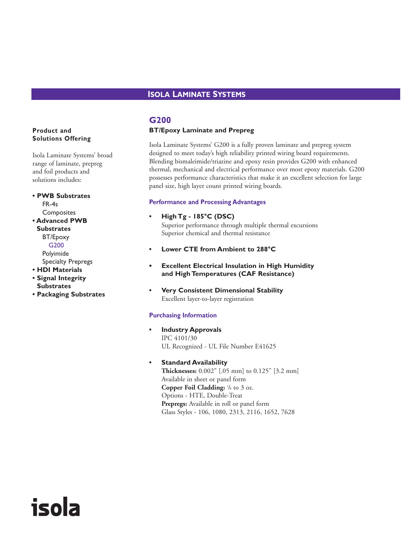# **ISOLA LAMINATE SYSTEMS**

# **G200**

#### **BT/Epoxy Laminate and Prepreg**

Isola Laminate Systems' G200 is a fully proven laminate and prepreg system designed to meet today's high reliability printed wiring board requirements. Blending bismaleimide/triazine and epoxy resin provides G200 with enhanced thermal, mechanical and electrical performance over most epoxy materials. G200 possesses performance characteristics that make it an excellent selection for large panel size, high layer count printed wiring boards.

#### **Performance and Processing Advantages**

#### **• High Tg - 185°C (DSC)**

Superior performance through multiple thermal excursions Superior chemical and thermal resistance

- **Lower CTE from Ambient to 288°C**
- **• Excellent Electrical Insulation in High Humidity and High Temperatures (CAF Resistance)**
- **Very Consistent Dimensional Stability** Excellent layer-to-layer registration

#### **Purchasing Information**

- **Industry Approvals** IPC 4101/30 UL Recognized - UL File Number E41625
- **Standard Availability Thicknesses:** 0.002" [.05 mm] to 0.125" [3.2 mm] Available in sheet or panel form **Copper Foil Cladding:**  $\frac{1}{8}$  to 3 oz. Options - HTE, Double-Treat **Prepregs:** Available in roll or panel form Glass Styles - 106, 1080, 2313, 2116, 1652, 7628

# **Product and Solutions Offering**

Isola Laminate Systems' broad range of laminate, prepreg and foil products and solutions includes:

**• PWB Substrates** FR-4s **Composites • Advanced PWB Substrates** BT/Epoxy G200 Polyimide Specialty Prepregs

**• HDI Materials**

- **Signal Integrity Substrates**
- **Packaging Substrates**

# isola